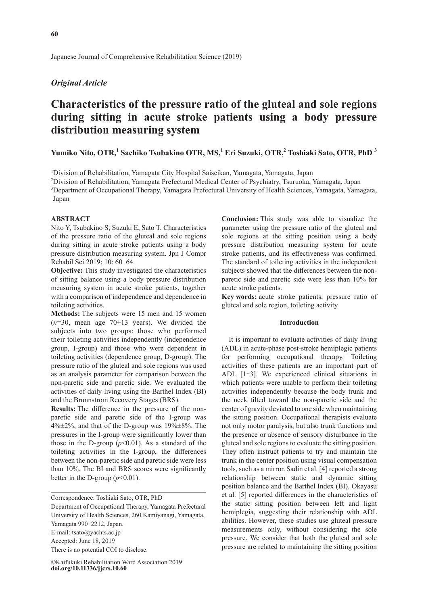Japanese Journal of Comprehensive Rehabilitation Science (2019)

# *Original Article*

# **Characteristics of the pressure ratio of the gluteal and sole regions during sitting in acute stroke patients using a body pressure distribution measuring system**

# Yumiko Nito, OTR,<sup>1</sup> Sachiko Tsubakino OTR, MS,<sup>1</sup> Eri Suzuki, OTR,<sup>2</sup> Toshiaki Sato, OTR, PhD <sup>3</sup>

1 Division of Rehabilitation, Yamagata City Hospital Saiseikan, Yamagata, Yamagata, Japan

2 Division of Rehabilitation, Yamagata Prefectural Medical Center of Psychiatry, Tsuruoka, Yamagata, Japan

<sup>3</sup>Department of Occupational Therapy, Yamagata Prefectural University of Health Sciences, Yamagata, Yamagata, Japan

## **ABSTRACT**

Nito Y, Tsubakino S, Suzuki E, Sato T. Characteristics of the pressure ratio of the gluteal and sole regions during sitting in acute stroke patients using a body pressure distribution measuring system. Jpn J Compr Rehabil Sci 2019; 10: 60-64.

**Objective:** This study investigated the characteristics of sitting balance using a body pressure distribution measuring system in acute stroke patients, together with a comparison of independence and dependence in toileting activities.

**Methods:** The subjects were 15 men and 15 women  $(n=30, \text{ mean age } 70 \pm 13 \text{ years})$ . We divided the subjects into two groups: those who performed their toileting activities independently (independence group, I-group) and those who were dependent in toileting activities (dependence group, D-group). The pressure ratio of the gluteal and sole regions was used as an analysis parameter for comparison between the non-paretic side and paretic side. We evaluated the activities of daily living using the Barthel Index (BI) and the Brunnstrom Recovery Stages (BRS).

**Results:** The difference in the pressure of the nonparetic side and paretic side of the I-group was  $4\% \pm 2\%$ , and that of the D-group was  $19\% \pm 8\%$ . The pressures in the I-group were significantly lower than those in the D-group  $(p<0.01)$ . As a standard of the toileting activities in the I-group, the differences between the non-paretic side and paretic side were less than 10%. The BI and BRS scores were significantly better in the D-group  $(p<0.01)$ .

There is no potential COI to disclose.

**Conclusion:** This study was able to visualize the parameter using the pressure ratio of the gluteal and sole regions at the sitting position using a body pressure distribution measuring system for acute stroke patients, and its effectiveness was confirmed. The standard of toileting activities in the independent subjects showed that the differences between the nonparetic side and paretic side were less than 10% for acute stroke patients.

**Key words:** acute stroke patients, pressure ratio of gluteal and sole region, toileting activity

#### **Introduction**

It is important to evaluate activities of daily living (ADL) in acute-phase post-stroke hemiplegic patients for performing occupational therapy. Toileting activities of these patients are an important part of ADL [1–3]. We experienced clinical situations in which patients were unable to perform their toileting activities independently because the body trunk and the neck tilted toward the non-paretic side and the center of gravity deviated to one side when maintaining the sitting position. Occupational therapists evaluate not only motor paralysis, but also trunk functions and the presence or absence of sensory disturbance in the gluteal and sole regions to evaluate the sitting position. They often instruct patients to try and maintain the trunk in the center position using visual compensation tools, such as a mirror. Sadin et al. [4] reported a strong relationship between static and dynamic sitting position balance and the Barthel Index (BI). Okayasu et al. [5] reported differences in the characteristics of the static sitting position between left and light hemiplegia, suggesting their relationship with ADL abilities. However, these studies use gluteal pressure measurements only, without considering the sole pressure. We consider that both the gluteal and sole pressure are related to maintaining the sitting position

Correspondence: Toshiaki Sato, OTR, PhD

Department of Occupational Therapy, Yamagata Prefectural University of Health Sciences, 260 Kamiyanagi, Yamagata, Yamagata 990-2212, Japan.

E-mail: tsato@yachts.ac.jp

Accepted: June 18, 2019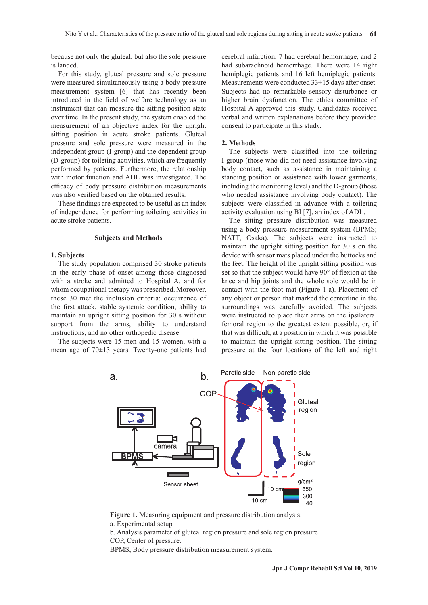because not only the gluteal, but also the sole pressure is landed.

For this study, gluteal pressure and sole pressure were measured simultaneously using a body pressure measurement system [6] that has recently been introduced in the field of welfare technology as an instrument that can measure the sitting position state over time. In the present study, the system enabled the measurement of an objective index for the upright sitting position in acute stroke patients. Gluteal pressure and sole pressure were measured in the independent group (I-group) and the dependent group (D-group) for toileting activities, which are frequently performed by patients. Furthermore, the relationship with motor function and ADL was investigated. The efficacy of body pressure distribution measurements was also verified based on the obtained results.

These findings are expected to be useful as an index of independence for performing toileting activities in acute stroke patients.

## **Subjects and Methods**

#### **1. Subjects**

The study population comprised 30 stroke patients in the early phase of onset among those diagnosed with a stroke and admitted to Hospital A, and for whom occupational therapy was prescribed. Moreover, these 30 met the inclusion criteria: occurrence of the first attack, stable systemic condition, ability to maintain an upright sitting position for 30 s without support from the arms, ability to understand instructions, and no other orthopedic disease.

The subjects were 15 men and 15 women, with a mean age of 70±13 years. Twenty-one patients had cerebral infarction, 7 had cerebral hemorrhage, and 2 had subarachnoid hemorrhage. There were 14 right hemiplegic patients and 16 left hemiplegic patients. Measurements were conducted 33±15 days after onset. Subjects had no remarkable sensory disturbance or higher brain dysfunction. The ethics committee of Hospital A approved this study. Candidates received verbal and written explanations before they provided consent to participate in this study.

### **2. Methods**

The subjects were classified into the toileting I-group (those who did not need assistance involving body contact, such as assistance in maintaining a standing position or assistance with lower garments, including the monitoring level) and the D-group (those who needed assistance involving body contact). The subjects were classified in advance with a toileting activity evaluation using BI [7], an index of ADL.

The sitting pressure distribution was measured using a body pressure measurement system (BPMS; NATT, Osaka). The subjects were instructed to maintain the upright sitting position for 30 s on the device with sensor mats placed under the buttocks and the feet. The height of the upright sitting position was set so that the subject would have 90° of flexion at the knee and hip joints and the whole sole would be in contact with the foot mat (Figure 1-a). Placement of any object or person that marked the centerline in the surroundings was carefully avoided. The subjects were instructed to place their arms on the ipsilateral femoral region to the greatest extent possible, or, if that was difficult, at a position in which it was possible to maintain the upright sitting position. The sitting pressure at the four locations of the left and right



**Figure 1.** Measuring equipment and pressure distribution analysis. a. Experimental setup

BPMS, Body pressure distribution measurement system.

b. Analysis parameter of gluteal region pressure and sole region pressure COP, Center of pressure.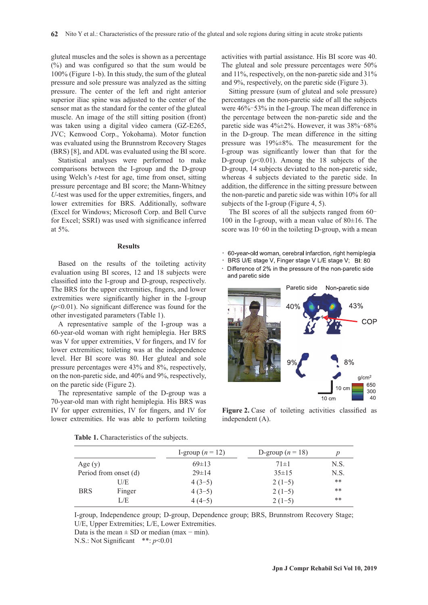gluteal muscles and the soles is shown as a percentage (%) and was configured so that the sum would be 100% (Figure 1-b). In this study, the sum of the gluteal pressure and sole pressure was analyzed as the sitting pressure. The center of the left and right anterior superior iliac spine was adjusted to the center of the sensor mat as the standard for the center of the gluteal muscle. An image of the still sitting position (front) was taken using a digital video camera (GZ-E265, JVC; Kenwood Corp., Yokohama). Motor function was evaluated using the Brunnstrom Recovery Stages (BRS) [8], and ADL was evaluated using the BI score.

Statistical analyses were performed to make comparisons between the I-group and the D-group using Welch's *t*-test for age, time from onset, sitting pressure percentage and BI score; the Mann-Whitney *U*-test was used for the upper extremities, fingers, and lower extremities for BRS. Additionally, software (Excel for Windows; Microsoft Corp. and Bell Curve for Excel; SSRI) was used with significance inferred at 5%.

#### **Results**

Based on the results of the toileting activity evaluation using BI scores, 12 and 18 subjects were classified into the I-group and D-group, respectively. The BRS for the upper extremities, fingers, and lower extremities were significantly higher in the I-group (*p*<0.01). No significant difference was found for the other investigated parameters (Table 1).

A representative sample of the I-group was a 60-year-old woman with right hemiplegia. Her BRS was V for upper extremities, V for fingers, and IV for lower extremities; toileting was at the independence level. Her BI score was 80. Her gluteal and sole pressure percentages were 43% and 8%, respectively, on the non-paretic side, and 40% and 9%, respectively, on the paretic side (Figure 2).

The representative sample of the D-group was a 70-year-old man with right hemiplegia. His BRS was IV for upper extremities, IV for fingers, and IV for lower extremities. He was able to perform toileting activities with partial assistance. His BI score was 40. The gluteal and sole pressure percentages were 50% and 11%, respectively, on the non-paretic side and 31% and 9%, respectively, on the paretic side (Figure 3).

Sitting pressure (sum of gluteal and sole pressure) percentages on the non-paretic side of all the subjects were 46%–53% in the I-group. The mean difference in the percentage between the non-paretic side and the paretic side was 4%±2%. However, it was 38%–68% in the D-group. The mean difference in the sitting pressure was 19%±8%. The measurement for the I-group was significantly lower than that for the D-group  $(p<0.01)$ . Among the 18 subjects of the D-group, 14 subjects deviated to the non-paretic side, whereas 4 subjects deviated to the paretic side. In addition, the difference in the sitting pressure between the non-paretic and paretic side was within 10% for all subjects of the I-group (Figure 4, 5).

The BI scores of all the subjects ranged from 60– 100 in the I-group, with a mean value of  $80\pm16$ . The score was 10–60 in the toileting D-group, with a mean

- · 60-year-old woman, cerebral infarction, right hemiplegia
- BRS U/E stage V, Finger stage V L/E stage V; BI: 80
- Difference of 2% in the pressure of the non-paretic side and paretic side



**Figure 2.** Case of toileting activities classified as independent (A).

|                       |        | I-group $(n = 12)$ | D-group $(n = 18)$ |       |
|-----------------------|--------|--------------------|--------------------|-------|
| Age $(y)$             |        | $69 \pm 13$        | $71 \pm 1$         | N.S.  |
| Period from onset (d) |        | $29 \pm 14$        | $35 \pm 15$        | N.S.  |
| <b>BRS</b>            | U/E    | $4(3-5)$           | $2(1-5)$           | **    |
|                       | Finger | $4(3-5)$           | $2(1-5)$           | **    |
|                       | L/E    | $4(4-5)$           | $2(1-5)$           | $***$ |

**Table 1.** Characteristics of the subjects.

I-group, Independence group; D-group, Dependence group; BRS, Brunnstrom Recovery Stage; U/E, Upper Extremities; L/E, Lower Extremities.

Data is the mean  $\pm$  SD or median (max – min).

N.S.: Not Significant \*\*: *p*<0.01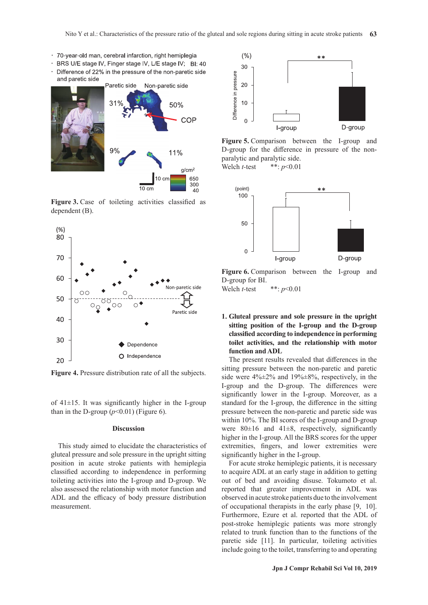- · 70-year-old man, cerebral infarction, right hemiplegia
- · BRS U/E stage IV, Finger stage IV, L/E stage IV; BI: 40
- Difference of 22% in the pressure of the non-paretic side  $\ddot{\phantom{a}}$ and paretic side



**Figure 3.** Case of toileting activities classified as dependent (B).



**Figure 4.** Pressure distribution rate of all the subjects.

of  $41\pm15$ . It was significantly higher in the I-group than in the D-group  $(p<0.01)$  (Figure 6).

#### **Discussion**

This study aimed to elucidate the characteristics of gluteal pressure and sole pressure in the upright sitting position in acute stroke patients with hemiplegia classified according to independence in performing toileting activities into the I-group and D-group. We also assessed the relationship with motor function and ADL and the efficacy of body pressure distribution measurement.



**Figure 5.** Comparison between the I-group and D-group for the difference in pressure of the nonparalytic and paralytic side.

Welch *t-*test \*\*: *p*<0.01



**Figure 6.** Comparison between the I-group and D-group for BI. Welch *t-*test \*\*: *p*<0.01

# **1. Gluteal pressure and sole pressure in the upright sitting position of the I-group and the D-group classified according to independence in performing toilet activities, and the relationship with motor function and ADL**

The present results revealed that differences in the sitting pressure between the non-paretic and paretic side were 4%±2% and 19%±8%, respectively, in the I-group and the D-group. The differences were significantly lower in the I-group. Moreover, as a standard for the I-group, the difference in the sitting pressure between the non-paretic and paretic side was within 10%. The BI scores of the I-group and D-group were  $80\pm16$  and  $41\pm8$ , respectively, significantly higher in the I-group. All the BRS scores for the upper extremities, fingers, and lower extremities were significantly higher in the I-group.

For acute stroke hemiplegic patients, it is necessary to acquire ADL at an early stage in addition to getting out of bed and avoiding disuse. Tokumoto et al. reported that greater improvement in ADL was observed in acute stroke patients due to the involvement of occupational therapists in the early phase [9, 10]. Furthermore, Ezure et al. reported that the ADL of post-stroke hemiplegic patients was more strongly related to trunk function than to the functions of the paretic side [11]. In particular, toileting activities include going to the toilet, transferring to and operating